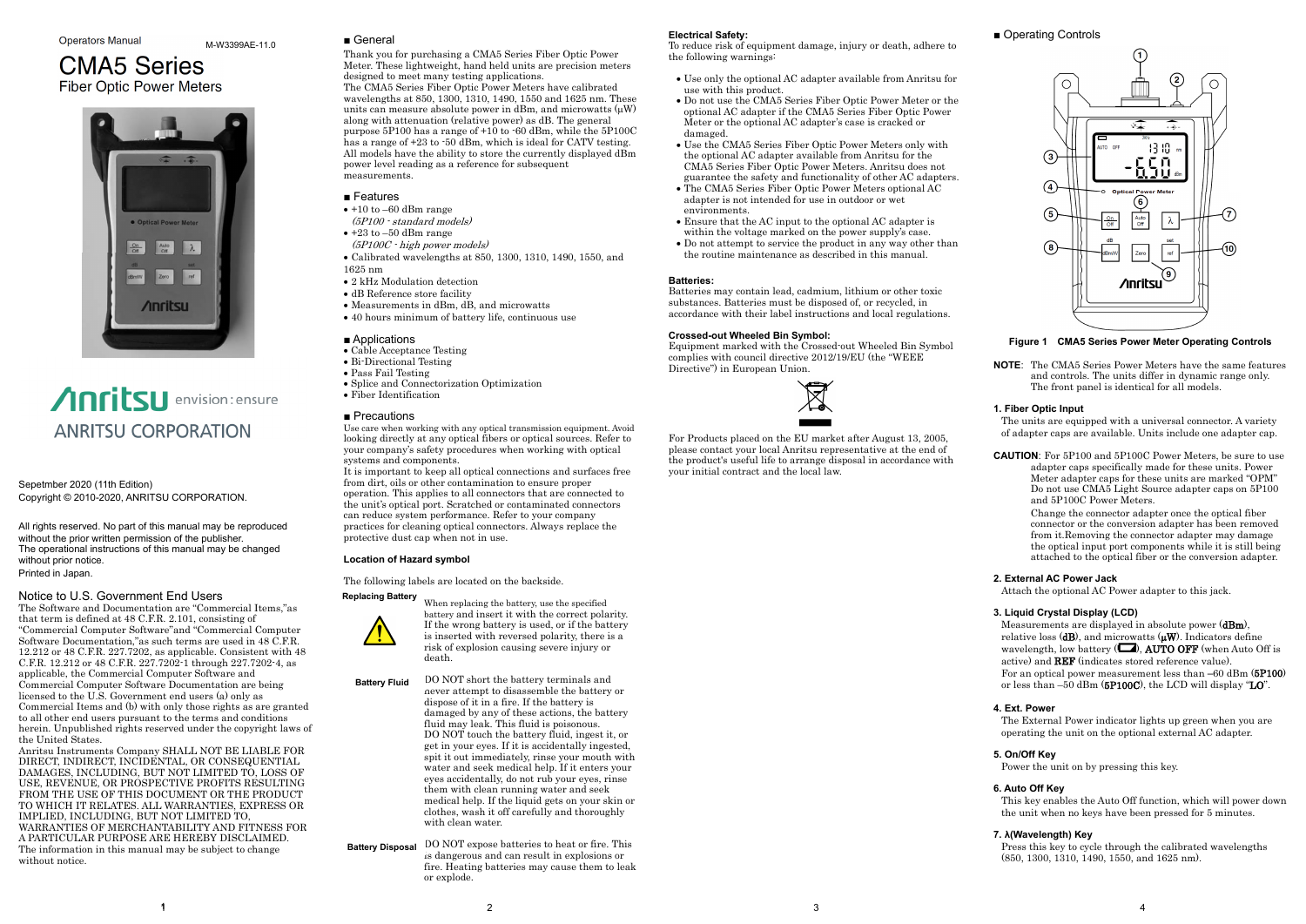Sepetmber 2020 (11th Edition) Copyright © 2010-2020, ANRITSU CORPORATION.

All rights reserved. No part of this manual may be reproduced without the prior written permission of the publisher. The operational instructions of this manual may be changed without prior notice. Printed in Japan.

#### Notice to U.S. Government End Users

The Software and Documentation are "Commercial Items,"as that term is defined at 48 C.F.R. 2.101, consisting of "Commercial Computer Software"and "Commercial Computer Software Documentation,"as such terms are used in 48 C.F.R. 12.212 or 48 C.F.R. 227.7202, as applicable. Consistent with 48 C.F.R. 12.212 or 48 C.F.R. 227.7202-1 through 227.7202-4, as applicable, the Commercial Computer Software and Commercial Computer Software Documentation are being licensed to the U.S. Government end users (a) only as Commercial Items and (b) with only those rights as are granted to all other end users pursuant to the terms and conditions herein. Unpublished rights reserved under the copyright laws of the United States.

- $\bullet$  +10 to –60 dBm range (5P100 - standard models)
- $\bullet$  +23 to -50 dBm range
- (5P100C high power models)
- Calibrated wavelengths at 850, 1300, 1310, 1490, 1550, and 1625 nm
- 2 kHz Modulation detection
- dB Reference store facility
- Measurements in dBm, dB, and microwatts
- 40 hours minimum of battery life, continuous use

#### ■ Applications

Anritsu Instruments Company SHALL NOT BE LIABLE FOR DIRECT, INDIRECT, INCIDENTAL, OR CONSEQUENTIAL DAMAGES, INCLUDING, BUT NOT LIMITED TO, LOSS OF USE, REVENUE, OR PROSPECTIVE PROFITS RESULTING FROM THE USE OF THIS DOCUMENT OR THE PRODUCT TO WHICH IT RELATES. ALL WARRANTIES, EXPRESS OR IMPLIED, INCLUDING, BUT NOT LIMITED TO, WARRANTIES OF MERCHANTABILITY AND FITNESS FOR A PARTICULAR PURPOSE ARE HEREBY DISCLAIMED. The information in this manual may be subject to change without notice.

#### ■ General

Thank you for purchasing a CMA5 Series Fiber Optic Power Meter. These lightweight, hand held units are precision meters designed to meet many testing applications. The CMA5 Series Fiber Optic Power Meters have calibrated wavelengths at 850, 1300, 1310, 1490, 1550 and 1625 nm. These units can measure absolute power in dBm, and microwatts  $(\mu W)$ along with attenuation (relative power) as dB. The general purpose 5P100 has a range of +10 to -60 dBm, while the 5P100C has a range of  $\pm 23$  to  $\pm 50$  dBm, which is ideal for CATV testing. All models have the ability to store the currently displayed dBm power level reading as a reference for subsequent measurements.

#### ■ Features

- Cable Acceptance Testing
- Bi-Directional Testing
- Pass Fail Testing
- Splice and Connectorization Optimization
- Fiber Identification

#### ■ Precautions

Use care when working with any optical transmission equipment. Avoid looking directly at any optical fibers or optical sources. Refer to your company's safety procedures when working with optical systems and components.

It is important to keep all optical connections and surfaces free from dirt, oils or other contamination to ensure proper operation. This applies to all connectors that are connected to the unit's optical port. Scratched or contaminated connectors can reduce system performance. Refer to your company practices for cleaning optical connectors. Always replace the protective dust cap when not in use.

#### **Location of Hazard symbol**

The following labels are located on the backside.

When replacing the battery, use the specified battery and insert it with the correct polarity. If the wrong battery is used, or if the battery is inserted with reversed polarity, there is a risk of explosion causing severe injury or death.

Measurements are displayed in absolute power (**dBm**), relative loss  $(d\mathbf{B})$ , and microwatts  $(\mu \mathbf{W})$ . Indicators define wavelength, low battery  $(\Box)$ , AUTO OFF (when Auto Off is active) and REF (indicates stored reference value). For an optical power measurement less than –60 dBm (5P100) or less than –50 dBm (5P100C), the LCD will display "LO".

never attempt to disassemble the battery or dispose of it in a fire. If the battery is damaged by any of these actions, the battery fluid may leak. This fluid is poisonous. DO NOT touch the battery fluid, ingest it, or get in your eyes. If it is accidentally ingested, spit it out immediately, rinse your mouth with water and seek medical help. If it enters your eyes accidentally, do not rub your eyes, rinse them with clean running water and seek medical help. If the liquid gets on your skin or clothes, wash it off carefully and thoroughly with clean water.

#### **Electrical Safety:**

To reduce risk of equipment damage, injury or death, adhere to the following warnings:

- Use only the optional AC adapter available from Anritsu for use with this product.
- Do not use the CMA5 Series Fiber Optic Power Meter or the optional AC adapter if the CMA5 Series Fiber Optic Power Meter or the optional AC adapter's case is cracked or damaged.
- Use the CMA5 Series Fiber Optic Power Meters only with the optional AC adapter available from Anritsu for the CMA5 Series Fiber Optic Power Meters. Anritsu does not guarantee the safety and functionality of other AC adapters.
- The CMA5 Series Fiber Optic Power Meters optional AC adapter is not intended for use in outdoor or wet environments.
- Ensure that the AC input to the optional AC adapter is within the voltage marked on the power supply's case.
- Do not attempt to service the product in any way other than the routine maintenance as described in this manual.

#### **Batteries:**

Batteries may contain lead, cadmium, lithium or other toxic substances. Batteries must be disposed of, or recycled, in accordance with their label instructions and local regulations.

#### **Crossed-out Wheeled Bin Symbol:**

Equipment marked with the Crossed-out Wheeled Bin Symbol complies with council directive 2012/19/EU (the "WEEE Directive") in European Union.



DO NOT short the battery terminals and **Battery Fluid**

For Products placed on the EU market after August 13, 2005, please contact your local Anritsu representative at the end of the product's useful life to arrange disposal in accordance with your initial contract and the local law.

# ■ Operating Controls



**Figure 1 CMA5 Series Power Meter Operating Controls**

DO NOT expose batteries to heat or fire. This is dangerous and can result in explosions or fire. Heating batteries may cause them to leak or explode. **Battery Disposal**

**NOTE**: The CMA5 Series Power Meters have the same features and controls. The units differ in dynamic range only. The front panel is identical for all models.

#### **1. Fiber Optic Input**

The units are equipped with a universal connector. A variety of adapter caps are available. Units include one adapter cap.

**CAUTION**: For 5P100 and 5P100C Power Meters, be sure to use adapter caps specifically made for these units. Power Meter adapter caps for these units are marked "OPM" Do not use CMA5 Light Source adapter caps on 5P100 and 5P100C Power Meters.

> Change the connector adapter once the optical fiber connector or the conversion adapter has been removed from it.Removing the connector adapter may damage the optical input port components while it is still being attached to the optical fiber or the conversion adapter.

#### **2. External AC Power Jack**

Attach the optional AC Power adapter to this jack.

#### **3. Liquid Crystal Display (LCD)**

#### **4. Ext. Power**

The External Power indicator lights up green when you are operating the unit on the optional external AC adapter.

#### **5. On/Off Key**

Power the unit on by pressing this key.

#### **6. Auto Off Key**

This key enables the Auto Off function, which will power down the unit when no keys have been pressed for 5 minutes.

#### **7. λ(Wavelength) Key**

Press this key to cycle through the calibrated wavelengths (850, 1300, 1310, 1490, 1550, and 1625 nm).

M-W3399AE-11.0

# **CMA5 Series Fiber Optic Power Meters**



# Anritsu envision: ensure **ANRITSU CORPORATION**

#### **Replacing Battery**

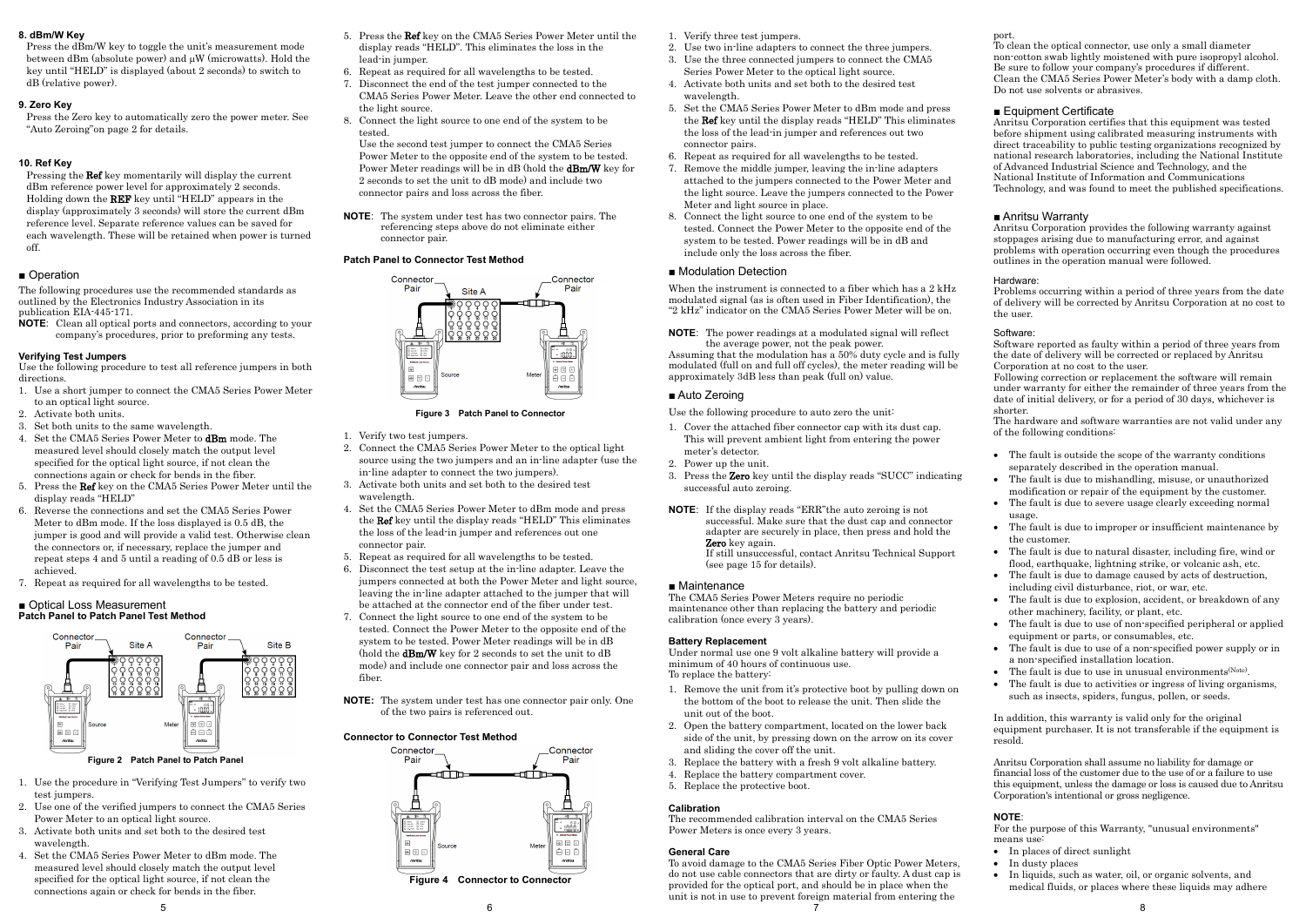#### **8. dBm/W Key**

Press the dBm/W key to toggle the unit's measurement mode between dBm (absolute power) and µW (microwatts). Hold the key until "HELD" is displayed (about 2 seconds) to switch to dB (relative power).

#### **9. Zero Key**

Press the Zero key to automatically zero the power meter. See "Auto Zeroing"on page 2 for details.

#### **10. Ref Key**

Pressing the Ref key momentarily will display the current dBm reference power level for approximately 2 seconds. Holding down the REF key until "HELD" appears in the display (approximately 3 seconds) will store the current dBm reference level. Separate reference values can be saved for each wavelength. These will be retained when power is turned off.

#### ■ Operation

The following procedures use the recommended standards as outlined by the Electronics Industry Association in its publication EIA-445-171.

**NOTE**: Clean all optical ports and connectors, according to your company's procedures, prior to preforming any tests.

#### ■ Optical Loss Measurement **Patch Panel to Patch Panel Test Method**

#### **Verifying Test Jumpers**

Use the following procedure to test all reference jumpers in both directions.

- 1. Use a short jumper to connect the CMA5 Series Power Meter to an optical light source.
- 2. Activate both units.
- 3. Set both units to the same wavelength.
- 4. Set the CMA5 Series Power Meter to dBm mode. The measured level should closely match the output level specified for the optical light source, if not clean the connections again or check for bends in the fiber.
- 5. Press the Ref key on the CMA5 Series Power Meter until the display reads "HELD"
- 6. Reverse the connections and set the CMA5 Series Power Meter to dBm mode. If the loss displayed is 0.5 dB, the jumper is good and will provide a valid test. Otherwise clean the connectors or, if necessary, replace the jumper and repeat steps 4 and 5 until a reading of 0.5 dB or less is achieved.
- 7. Repeat as required for all wavelengths to be tested.



**Figure 2 Patch Panel to Patch Panel**

- 1. Use the procedure in "Verifying Test Jumpers" to verify two test jumpers.
- 2. Use one of the verified jumpers to connect the CMA5 Series Power Meter to an optical light source.
- 3. Activate both units and set both to the desired test wavelength.
- 4. Set the CMA5 Series Power Meter to dBm mode. The measured level should closely match the output level specified for the optical light source, if not clean the connections again or check for bends in the fiber.
	-
- 5. Press the Ref key on the CMA5 Series Power Meter until the display reads "HELD". This eliminates the loss in the lead-in jumper.
- 6. Repeat as required for all wavelengths to be tested.
- 7. Disconnect the end of the test jumper connected to the CMA5 Series Power Meter. Leave the other end connected to the light source.
- 8. Connect the light source to one end of the system to be tested.

Use the second test jumper to connect the CMA5 Series Power Meter to the opposite end of the system to be tested. Power Meter readings will be in dB (hold the **dBm/W** key for 2 seconds to set the unit to dB mode) and include two connector pairs and loss across the fiber.

- 1. Cover the attached fiber connector cap with its dust cap. This will prevent ambient light from entering the power meter's detector.
- 2. Power up the unit.
- 3. Press the Zero key until the display reads "SUCC" indicating successful auto zeroing.
- **NOTE**: If the display reads "ERR"the auto zeroing is not successful. Make sure that the dust cap and connector adapter are securely in place, then press and hold the Zero key again.

**NOTE**: The system under test has two connector pairs. The referencing steps above do not eliminate either connector pair.

#### **Patch Panel to Connector Test Method**



#### **Figure 3 Patch Panel to Connector**

 $5$  6 and  $7$  8 To avoid damage to the CMA5 Series Fiber Optic Power Meters, do not use cable connectors that are dirty or faulty. A dust cap is provided for the optical port, and should be in place when the unit is not in use to prevent foreign material from entering the

- 1. Verify two test jumpers.
- 2. Connect the CMA5 Series Power Meter to the optical light source using the two jumpers and an in-line adapter (use the in-line adapter to connect the two jumpers).
- 3. Activate both units and set both to the desired test wavelength.
- 4. Set the CMA5 Series Power Meter to dBm mode and press the Ref key until the display reads "HELD" This eliminates the loss of the lead-in jumper and references out one connector pair.
- 5. Repeat as required for all wavelengths to be tested.
- 6. Disconnect the test setup at the in-line adapter. Leave the jumpers connected at both the Power Meter and light source, leaving the in-line adapter attached to the jumper that will be attached at the connector end of the fiber under test.
- 7. Connect the light source to one end of the system to be tested. Connect the Power Meter to the opposite end of the system to be tested. Power Meter readings will be in dB (hold the dBm/W key for 2 seconds to set the unit to dB mode) and include one connector pair and loss across the fiber.
- **NOTE:** The system under test has one connector pair only. One of the two pairs is referenced out.

#### **Connector to Connector Test Method**



1. Verify three test jumpers.

- 2. Use two in-line adapters to connect the three jumpers.
- 3. Use the three connected jumpers to connect the CMA5 Series Power Meter to the optical light source.
- 4. Activate both units and set both to the desired test wavelength.
- 5. Set the CMA5 Series Power Meter to dBm mode and press the Ref key until the display reads "HELD" This eliminates the loss of the lead-in jumper and references out two connector pairs.
- 6. Repeat as required for all wavelengths to be tested.
- 7. Remove the middle jumper, leaving the in-line adapters attached to the jumpers connected to the Power Meter and the light source. Leave the jumpers connected to the Power Meter and light source in place.
- 8. Connect the light source to one end of the system to be tested. Connect the Power Meter to the opposite end of the system to be tested. Power readings will be in dB and include only the loss across the fiber.

#### ■ Modulation Detection

- In places of direct sunlight
- In dusty places
- In liquids, such as water, oil, or organic solvents, and medical fluids, or places where these liquids may adhere

When the instrument is connected to a fiber which has a 2 kHz modulated signal (as is often used in Fiber Identification), the "2 kHz" indicator on the CMA5 Series Power Meter will be on.

**NOTE**: The power readings at a modulated signal will reflect the average power, not the peak power.

Assuming that the modulation has a 50% duty cycle and is fully modulated (full on and full off cycles), the meter reading will be approximately 3dB less than peak (full on) value.

#### ■ Auto Zeroing

Use the following procedure to auto zero the unit:

If still unsuccessful, contact Anritsu Technical Support (see page 15 for details).

#### ■ Maintenance

The CMA5 Series Power Meters require no periodic maintenance other than replacing the battery and periodic calibration (once every 3 years).

#### **Battery Replacement**

Under normal use one 9 volt alkaline battery will provide a minimum of 40 hours of continuous use. To replace the battery:

- 1. Remove the unit from it's protective boot by pulling down on the bottom of the boot to release the unit. Then slide the unit out of the boot.
- 2. Open the battery compartment, located on the lower back side of the unit, by pressing down on the arrow on its cover and sliding the cover off the unit.
- 3. Replace the battery with a fresh 9 volt alkaline battery.
- 4. Replace the battery compartment cover.
- 5. Replace the protective boot.

#### **Calibration**

The recommended calibration interval on the CMA5 Series Power Meters is once every 3 years.

#### **General Care**

#### port.

To clean the optical connector, use only a small diameter non-cotton swab lightly moistened with pure isopropyl alcohol. Be sure to follow your company's procedures if different. Clean the CMA5 Series Power Meter's body with a damp cloth. Do not use solvents or abrasives.

#### ■ Equipment Certificate

Anritsu Corporation certifies that this equipment was tested before shipment using calibrated measuring instruments with direct traceability to public testing organizations recognized by national research laboratories, including the National Institute of Advanced Industrial Science and Technology, and the National Institute of Information and Communications Technology, and was found to meet the published specifications.

#### ■ Anritsu Warranty

Anritsu Corporation provides the following warranty against stoppages arising due to manufacturing error, and against problems with operation occurring even though the procedures outlines in the operation manual were followed.

#### Hardware:

Problems occurring within a period of three years from the date of delivery will be corrected by Anritsu Corporation at no cost to the user.

#### Software:

Software reported as faulty within a period of three years from the date of delivery will be corrected or replaced by Anritsu Corporation at no cost to the user.

Following correction or replacement the software will remain under warranty for either the remainder of three years from the date of initial delivery, or for a period of 30 days, whichever is shorter.

The hardware and software warranties are not valid under any of the following conditions:

- The fault is outside the scope of the warranty conditions separately described in the operation manual.
- The fault is due to mishandling, misuse, or unauthorized modification or repair of the equipment by the customer.
- The fault is due to severe usage clearly exceeding normal usage.
- The fault is due to improper or insufficient maintenance by the customer.
- The fault is due to natural disaster, including fire, wind or flood, earthquake, lightning strike, or volcanic ash, etc.
- The fault is due to damage caused by acts of destruction, including civil disturbance, riot, or war, etc.
- The fault is due to explosion, accident, or breakdown of any other machinery, facility, or plant, etc.
- The fault is due to use of non-specified peripheral or applied equipment or parts, or consumables, etc.
- The fault is due to use of a non-specified power supply or in a non-specified installation location.
- The fault is due to use in unusual environments<sup>(Note)</sup>.
- The fault is due to activities or ingress of living organisms, such as insects, spiders, fungus, pollen, or seeds.

In addition, this warranty is valid only for the original equipment purchaser. It is not transferable if the equipment is resold.

Anritsu Corporation shall assume no liability for damage or financial loss of the customer due to the use of or a failure to use this equipment, unless the damage or loss is caused due to Anritsu Corporation's intentional or gross negligence.

#### **NOTE**:

For the purpose of this Warranty, "unusual environments" means use: